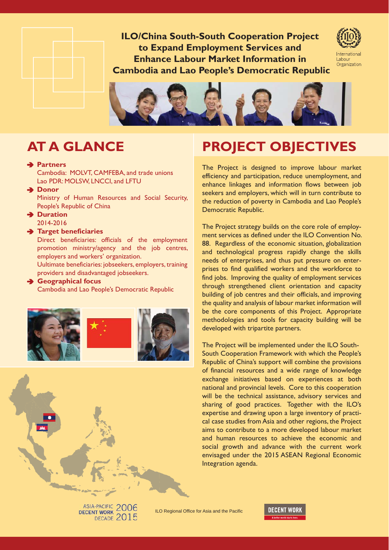**ILO/China South-South Cooperation Project to Expand Employment Services and Enhance Labour Market Information in Cambodia and Lao People's Democratic Republic**





### **Partners**

Cambodia: MOLVT, CAMFEBA, and trade unions Lao PDR: MOLSW, LNCCI, and LFTU

**→ Donor** 

Ministry of Human Resources and Social Security, People's Republic of China

**→ Duration** 2014-2016

## **Target beneficiaries**

Direct beneficiaries: officials of the employment promotion ministry/agency and the job centres, employers and workers' organization.

Uultimate beneficiaries: jobseekers, employers, training providers and disadvantaged jobseekers.

## **Geographical focus**

Cambodia and Lao People's Democratic Republic



# **AT A GLANCE PROJECT OBJECTIVES**

The Project is designed to improve labour market efficiency and participation, reduce unemployment, and enhance linkages and information flows between job seekers and employers, which will in turn contribute to the reduction of poverty in Cambodia and Lao People's Democratic Republic.

The Project strategy builds on the core role of employment services as defined under the ILO Convention No. 88. Regardless of the economic situation, globalization and technological progress rapidly change the skills needs of enterprises, and thus put pressure on enterprises to find qualified workers and the workforce to find jobs. Improving the quality of employment services through strengthened client orientation and capacity building of job centres and their officials, and improving the quality and analysis of labour market information will be the core components of this Project. Appropriate methodologies and tools for capacity building will be developed with tripartite partners.

The Project will be implemented under the ILO South-South Cooperation Framework with which the People's Republic of China's support will combine the provisions of financial resources and a wide range of knowledge exchange initiatives based on experiences at both national and provincial levels. Core to this cooperation will be the technical assistance, advisory services and sharing of good practices. Together with the ILO's expertise and drawing upon a large inventory of practical case studies from Asia and other regions, the Project aims to contribute to a more developed labour market and human resources to achieve the economic and social growth and advance with the current work envisaged under the 2015 ASEAN Regional Economic Integration agenda.

ASIA-PACIFIC 2006 DECADE 2015

ILO Regional Office for Asia and the Pacific